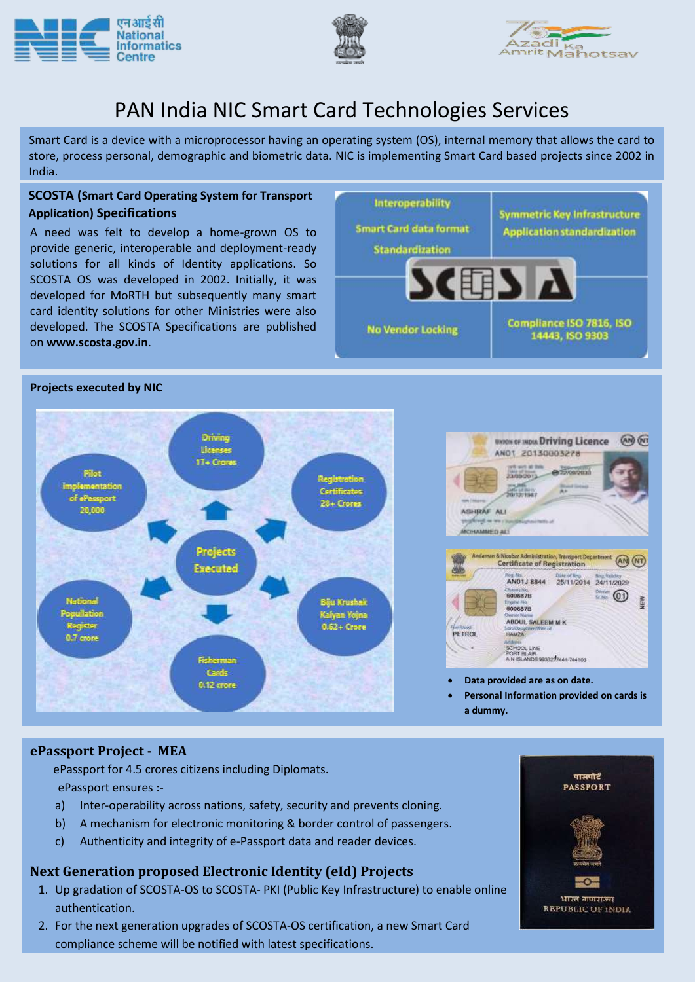





**Symmetric Key Infrastructure** 

**Application standardization** 

Compliance ISO 7816, ISO

14443, ISO 9303

# PAN India NIC Smart Card Technologies Services

Smart Card is a device with a microprocessor having an operating system (OS), internal memory that allows the card to store, process personal, demographic and biometric data. NIC is implementing Smart Card based projects since 2002 in India.

Interoperability

**Smart Card data format** 

**Standardization** 

**No Vendor Locking** 

(围) /

### **SCOSTA (Smart Card Operating System for Transport Application) Specifications**

A need was felt to develop a home-grown OS to provide generic, interoperable and deployment-ready solutions for all kinds of Identity applications. So SCOSTA OS was developed in 2002. Initially, it was developed for MoRTH but subsequently many smart card identity solutions for other Ministries were also developed. The SCOSTA Specifications are published on **www.scosta.gov.in**.

### **Projects executed by NIC**





**Data provided are as on date.**

 **Personal Information provided on cards is a dummy.**

### **ePassport Project - MEA**

 ePassport for 4.5 crores citizens including Diplomats. ePassport ensures :-

- a) Inter-operability across nations, safety, security and prevents cloning.
- b) A mechanism for electronic monitoring & border control of passengers.
- c) Authenticity and integrity of e-Passport data and reader devices.

### **Next Generation proposed Electronic Identity (eId) Projects**

- 1. Up gradation of SCOSTA-OS to SCOSTA- PKI (Public Key Infrastructure) to enable online authentication.
- 2. For the next generation upgrades of SCOSTA-OS certification, a new Smart Card compliance scheme will be notified with latest specifications.